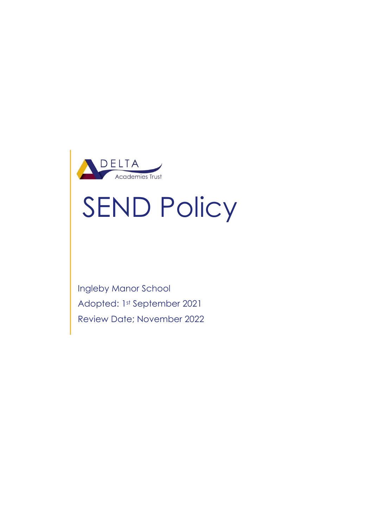

# SEND Policy

Ingleby Manor School Adopted: 1st September 2021 Review Date; November 2022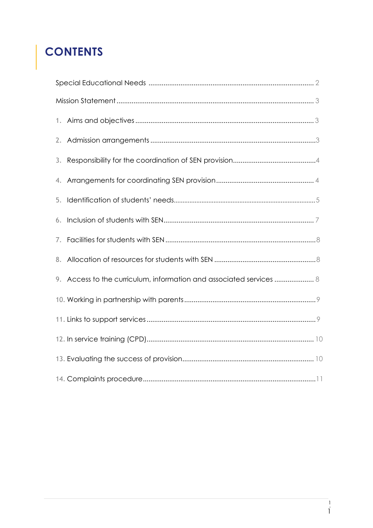# **CONTENTS**

| 4. |                                                                     |  |  |
|----|---------------------------------------------------------------------|--|--|
| 5. |                                                                     |  |  |
| 6. |                                                                     |  |  |
|    |                                                                     |  |  |
|    |                                                                     |  |  |
|    | 9. Access to the curriculum, information and associated services  8 |  |  |
|    |                                                                     |  |  |
|    |                                                                     |  |  |
|    |                                                                     |  |  |
|    |                                                                     |  |  |
|    |                                                                     |  |  |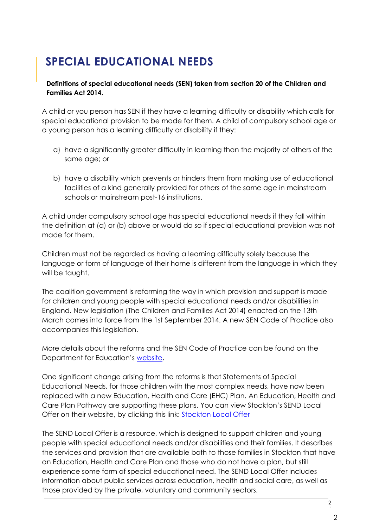# **SPECIAL EDUCATIONAL NEEDS**

#### **Definitions of special educational needs (SEN) taken from section 20 of the Children and Families Act 2014.**

A child or you person has SEN if they have a learning difficulty or disability which calls for special educational provision to be made for them. A child of compulsory school age or a young person has a learning difficulty or disability if they:

- a) have a significantly greater difficulty in learning than the majority of others of the same age; or
- b) have a disability which prevents or hinders them from making use of educational facilities of a kind generally provided for others of the same age in mainstream schools or mainstream post-16 institutions.

A child under compulsory school age has special educational needs if they fall within the definition at (a) or (b) above or would do so if special educational provision was not made for them.

Children must not be regarded as having a learning difficulty solely because the language or form of language of their home is different from the language in which they will be taught.

The coalition government is reforming the way in which provision and support is made for children and young people with special educational needs and/or disabilities in England. New legislation (The Children and Families Act 2014) enacted on the 13th March comes into force from the 1st September 2014. A new SEN Code of Practice also accompanies this legislation.

More details about the reforms and the SEN Code of Practice can be found on the Department for Education's website.

One significant change arising from the reforms is that Statements of Special Educational Needs, for those children with the most complex needs, have now been replaced with a new Education, Health and Care (EHC) Plan. An Education, Health and Care Plan Pathway are supporting these plans. You can view Stockton's SEND Local Offer on their website, by clicking this link: **Stockton Local Offer** 

The SEND Local Offer is a resource, which is designed to support children and young people with special educational needs and/or disabilities and their families. It describes the services and provision that are available both to those families in Stockton that have an Education, Health and Care Plan and those who do not have a plan, but still experience some form of special educational need. The SEND Local Offer includes information about public services across education, health and social care, as well as those provided by the private, voluntary and community sectors.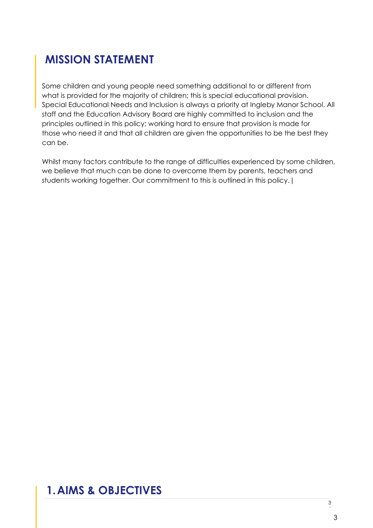## **MISSION STATEMENT**

Some children and young people need something additional to or different from what is provided for the majority of children; this is special educational provision. Special Educational Needs and Inclusion is always a priority at Ingleby Manor School. All staff and the Education Advisory Board are highly committed to inclusion and the principles outlined in this policy; working hard to ensure that provision is made for those who need it and that all children are given the opportunities to be the best they can be.

Whilst many factors contribute to the range of difficulties experienced by some children, we believe that much can be done to overcome them by parents, teachers and students working together. Our commitment to this is outlined in this policy.|

## **1.AIMS & OBJECTIVES**

P 3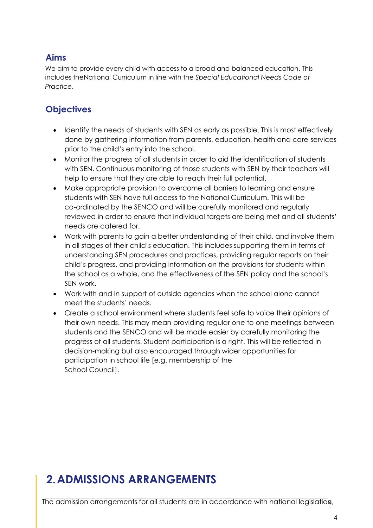#### **Aims**

We aim to provide every child with access to a broad and balanced education. This includes theNational Curriculum in line with the *Special Educational Needs Code of Practice*.

## **Objectives**

- Identify the needs of students with SEN as early as possible. This is most effectively done by gathering information from parents, education, health and care services prior to the child's entry into the school.
- Monitor the progress of all students in order to aid the identification of students with SEN. Continuous monitoring of those students with SEN by their teachers will help to ensure that they are able to reach their full potential.
- Make appropriate provision to overcome all barriers to learning and ensure students with SEN have full access to the National Curriculum. This will be co-ordinated by the SENCO and will be carefully monitored and regularly reviewed in order to ensure that individual targets are being met and all students' needs are catered for.
- Work with parents to gain a better understanding of their child, and involve them in all stages of their child's education. This includes supporting them in terms of understanding SEN procedures and practices, providing regular reports on their child's progress, and providing information on the provisions for students within the school as a whole, and the effectiveness of the SEN policy and the school's SEN work.
- Work with and in support of outside agencies when the school alone cannot meet the students' needs.
- Create a school environment where students feel safe to voice their opinions of their own needs. This may mean providing regular one to one meetings between students and the SENCO and will be made easier by carefully monitoring the progress of all students. Student participation is a right. This will be reflected in decision-making but also encouraged through wider opportunities for participation in school life [e.g. membership of the School Council].

## **2.ADMISSIONS ARRANGEMENTS**

The admission arrangements for all students are in accordance with national legislation, |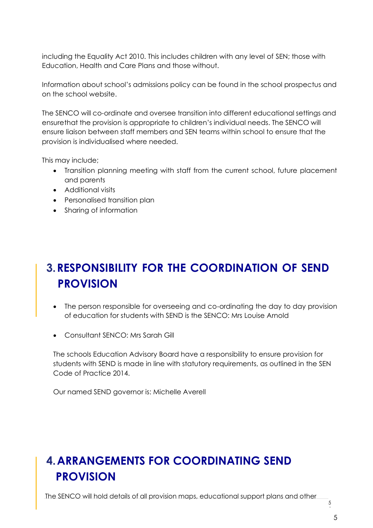including the Equality Act 2010. This includes children with any level of SEN; those with Education, Health and Care Plans and those without.

Information about school's admissions policy can be found in the school prospectus and on the school website.

The SENCO will co-ordinate and oversee transition into different educational settings and ensurethat the provision is appropriate to children's individual needs. The SENCO will ensure liaison between staff members and SEN teams within school to ensure that the provision is individualised where needed.

This may include;

- Transition planning meeting with staff from the current school, future placement and parents
- Additional visits
- Personalised transition plan
- Sharing of information

## **3.RESPONSIBILITY FOR THE COORDINATION OF SEND PROVISION**

- The person responsible for overseeing and co-ordinating the day to day provision of education for students with SEND is the SENCO: Mrs Louise Arnold
- Consultant SENCO: Mrs Sarah Gill

The schools Education Advisory Board have a responsibility to ensure provision for students with SEND is made in line with statutory requirements, as outlined in the SEN Code of Practice 2014.

Our named SEND governor is: Michelle Averell

## **4.ARRANGEMENTS FOR COORDINATING SEND PROVISION**

The SENCO will hold details of all provision maps, educational support plans and other

5 |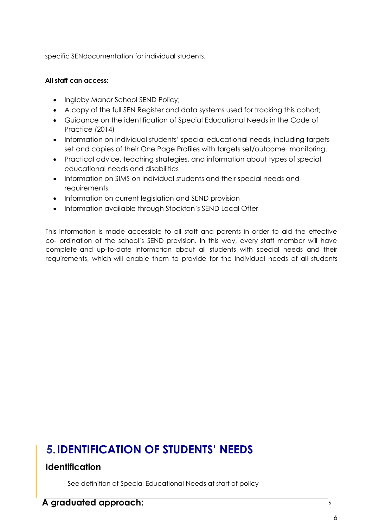specific SENdocumentation for individual students.

#### **All staff can access:**

- Ingleby Manor School SEND Policy;
- A copy of the full SEN Register and data systems used for tracking this cohort;
- Guidance on the identification of Special Educational Needs in the Code of Practice (2014)
- Information on individual students' special educational needs, including targets set and copies of their One Page Profiles with targets set/outcome monitoring.
- Practical advice, teaching strategies, and information about types of special educational needs and disabilities
- Information on SIMS on individual students and their special needs and requirements
- Information on current legislation and SEND provision
- Information available through Stockton's SEND Local Offer

This information is made accessible to all staff and parents in order to aid the effective co- ordination of the school's SEND provision. In this way, every staff member will have complete and up-to-date information about all students with special needs and their requirements, which will enable them to provide for the individual needs of all students

## **5.IDENTIFICATION OF STUDENTS' NEEDS**

#### **Identification**

See definition of Special Educational Needs at start of policy

#### **A graduated approach:**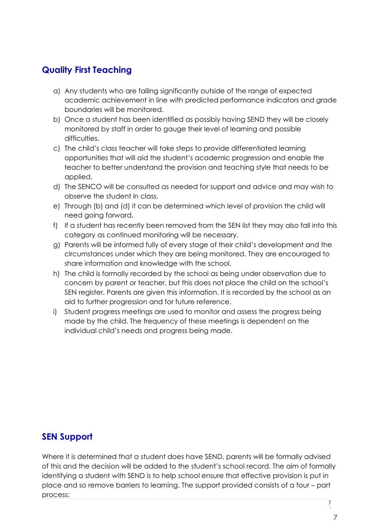## **Quality First Teaching**

- a) Any students who are falling significantly outside of the range of expected academic achievement in line with predicted performance indicators and grade boundaries will be monitored.
- b) Once a student has been identified as possibly having SEND they will be closely monitored by staff in order to gauge their level of learning and possible difficulties.
- c) The child's class teacher will take steps to provide differentiated learning opportunities that will aid the student's academic progression and enable the teacher to better understand the provision and teaching style that needs to be applied.
- d) The SENCO will be consulted as needed for support and advice and may wish to observe the student in class.
- e) Through (b) and (d) it can be determined which level of provision the child will need going forward.
- f) If a student has recently been removed from the SEN list they may also fall into this category as continued monitoring will be necessary.
- g) Parents will be informed fully of every stage of their child's development and the circumstances under which they are being monitored. They are encouraged to share information and knowledge with the school.
- h) The child is formally recorded by the school as being under observation due to concern by parent or teacher, but this does not place the child on the school's SEN register. Parents are given this information. It is recorded by the school as an aid to further progression and for future reference.
- i) Student progress meetings are used to monitor and assess the progress being made by the child. The frequency of these meetings is dependent on the individual child's needs and progress being made.

#### **SEN Support**

Where it is determined that a student does have SEND, parents will be formally advised of this and the decision will be added to the student's school record. The aim of formally identifying a student with SEND is to help school ensure that effective provision is put in place and so remove barriers to learning. The support provided consists of a four – part process:

7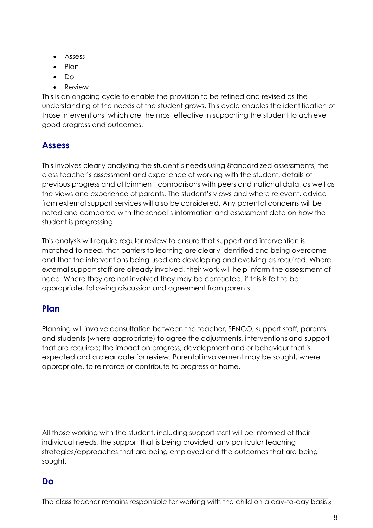- Assess
- Plan
- Do
- Review

This is an ongoing cycle to enable the provision to be refined and revised as the understanding of the needs of the student grows. This cycle enables the identification of those interventions, which are the most effective in supporting the student to achieve good progress and outcomes.

#### **Assess**

This involves clearly analysing the student's needs using 8tandardized assessments, the class teacher's assessment and experience of working with the student, details of previous progress and attainment, comparisons with peers and national data, as well as the views and experience of parents. The student's views and where relevant, advice from external support services will also be considered. Any parental concerns will be noted and compared with the school's information and assessment data on how the student is progressing

This analysis will require regular review to ensure that support and intervention is matched to need, that barriers to learning are clearly identified and being overcome and that the interventions being used are developing and evolving as required. Where external support staff are already involved, their work will help inform the assessment of need. Where they are not involved they may be contacted, if this is felt to be appropriate, following discussion and agreement from parents.

#### **Plan**

Planning will involve consultation between the teacher, SENCO, support staff, parents and students (where appropriate) to agree the adjustments, interventions and support that are required; the impact on progress, development and or behaviour that is expected and a clear date for review. Parental involvement may be sought, where appropriate, to reinforce or contribute to progress at home.

All those working with the student, including support staff will be informed of their individual needs, the support that is being provided, any particular teaching strategies/approaches that are being employed and the outcomes that are being sought.

#### **Do**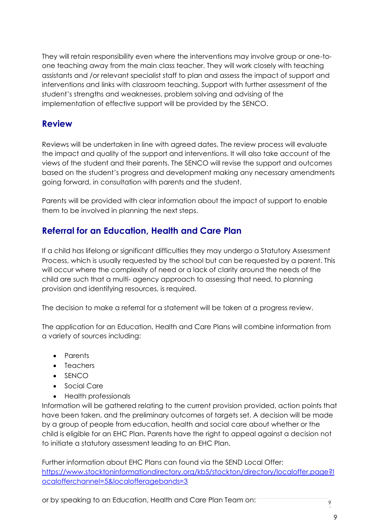They will retain responsibility even where the interventions may involve group or one-toone teaching away from the main class teacher. They will work closely with teaching assistants and /or relevant specialist staff to plan and assess the impact of support and interventions and links with classroom teaching. Support with further assessment of the student's strengths and weaknesses, problem solving and advising of the implementation of effective support will be provided by the SENCO.

#### **Review**

Reviews will be undertaken in line with agreed dates. The review process will evaluate the impact and quality of the support and interventions. It will also take account of the views of the student and their parents. The SENCO will revise the support and outcomes based on the student's progress and development making any necessary amendments going forward, in consultation with parents and the student.

Parents will be provided with clear information about the impact of support to enable them to be involved in planning the next steps.

## **Referral for an Education, Health and Care Plan**

If a child has lifelong or significant difficulties they may undergo a Statutory Assessment Process, which is usually requested by the school but can be requested by a parent. This will occur where the complexity of need or a lack of clarity around the needs of the child are such that a multi- agency approach to assessing that need, to planning provision and identifying resources, is required.

The decision to make a referral for a statement will be taken at a progress review.

The application for an Education, Health and Care Plans will combine information from a variety of sources including:

- Parents
- Teachers
- SENCO
- Social Care
- Health professionals

Information will be gathered relating to the current provision provided, action points that have been taken, and the preliminary outcomes of targets set. A decision will be made by a group of people from education, health and social care about whether or the child is eligible for an EHC Plan. Parents have the right to appeal against a decision not to initiate a statutory assessment leading to an EHC Plan.

Further information about EHC Plans can found via the SEND Local Offer: https://www.stocktoninformationdirectory.org/kb5/stockton/directory/localoffer.page?l ocalofferchannel=5&localofferagebands=3

or by speaking to an Education, Health and Care Plan Team on: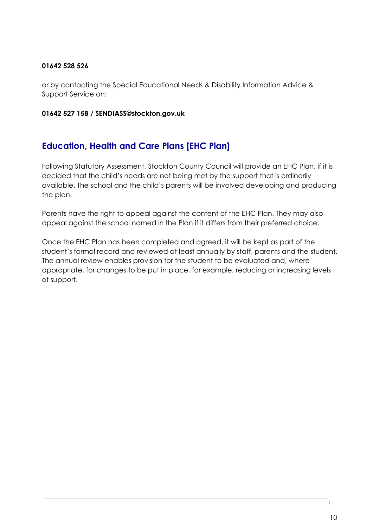#### **01642 528 526**

or by contacting the Special Educational Needs & Disability Information Advice & Support Service on:

#### **01642 527 158 / SENDIASS@stockton.gov.uk**

#### **Education, Health and Care Plans [EHC Plan]**

Following Statutory Assessment, Stockton County Council will provide an EHC Plan, if it is decided that the child's needs are not being met by the support that is ordinarily available. The school and the child's parents will be involved developing and producing the plan.

Parents have the right to appeal against the content of the EHC Plan. They may also appeal against the school named in the Plan if it differs from their preferred choice.

Once the EHC Plan has been completed and agreed, it will be kept as part of the student's formal record and reviewed at least annually by staff, parents and the student. The annual review enables provision for the student to be evaluated and, where appropriate, for changes to be put in place, for example, reducing or increasing levels of support.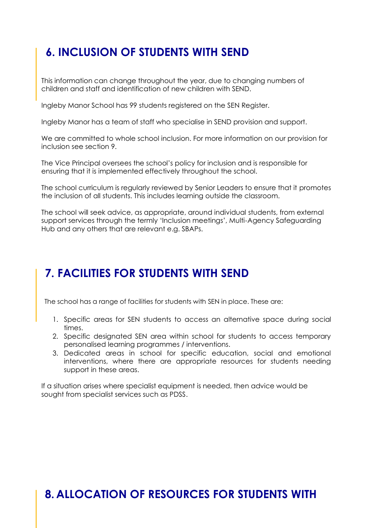## **6. INCLUSION OF STUDENTS WITH SEND**

This information can change throughout the year, due to changing numbers of children and staff and identification of new children with SEND.

Ingleby Manor School has 99 students registered on the SEN Register.

Ingleby Manor has a team of staff who specialise in SEND provision and support.

We are committed to whole school inclusion. For more information on our provision for inclusion see section 9.

The Vice Principal oversees the school's policy for inclusion and is responsible for ensuring that it is implemented effectively throughout the school.

The school curriculum is regularly reviewed by Senior Leaders to ensure that it promotes the inclusion of all students. This includes learning outside the classroom.

The school will seek advice, as appropriate, around individual students, from external support services through the termly 'Inclusion meetings', Multi-Agency Safeguarding Hub and any others that are relevant e.g. SBAPs.

## **7. FACILITIES FOR STUDENTS WITH SEND**

The school has a range of facilities for students with SEN in place. These are:

- 1. Specific areas for SEN students to access an alternative space during social times.
- 2. Specific designated SEN area within school for students to access temporary personalised learning programmes / interventions.
- 3. Dedicated areas in school for specific education, social and emotional interventions, where there are appropriate resources for students needing support in these areas.

If a situation arises where specialist equipment is needed, then advice would be sought from specialist services such as PDSS.

## **8. ALLOCATION OF RESOURCES FOR STUDENTS WITH**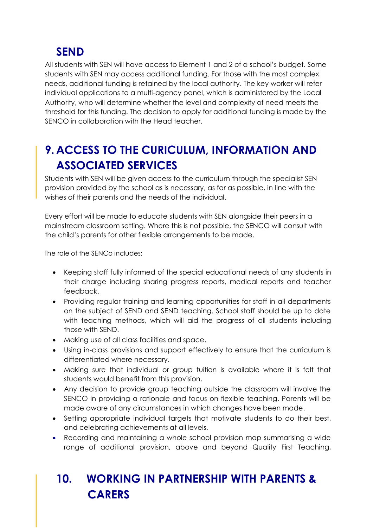## **SEND**

All students with SEN will have access to Element 1 and 2 of a school's budget. Some students with SEN may access additional funding. For those with the most complex needs, additional funding is retained by the local authority. The key worker will refer individual applications to a multi-agency panel, which is administered by the Local Authority, who will determine whether the level and complexity of need meets the threshold for this funding. The decision to apply for additional funding is made by the SENCO in collaboration with the Head teacher.

## **9. ACCESS TO THE CURICULUM, INFORMATION AND ASSOCIATED SERVICES**

Students with SEN will be given access to the curriculum through the specialist SEN provision provided by the school as is necessary, as far as possible, in line with the wishes of their parents and the needs of the individual.

Every effort will be made to educate students with SEN alongside their peers in a mainstream classroom setting. Where this is not possible, the SENCO will consult with the child's parents for other flexible arrangements to be made.

The role of the SENCo includes:

- Keeping staff fully informed of the special educational needs of any students in their charge including sharing progress reports, medical reports and teacher feedback.
- Providing regular training and learning opportunities for staff in all departments on the subject of SEND and SEND teaching. School staff should be up to date with teaching methods, which will aid the progress of all students including those with SEND.
- Making use of all class facilities and space.
- Using in-class provisions and support effectively to ensure that the curriculum is differentiated where necessary.
- Making sure that individual or group tuition is available where it is felt that students would benefit from this provision.
- Any decision to provide group teaching outside the classroom will involve the SENCO in providing a rationale and focus on flexible teaching. Parents will be made aware of any circumstances in which changes have been made.
- Setting appropriate individual targets that motivate students to do their best, and celebrating achievements at all levels.
- Recording and maintaining a whole school provision map summarising a wide range of additional provision, above and beyond Quality First Teaching,

# **10. WORKING IN PARTNERSHIP WITH PARENTS & CARERS**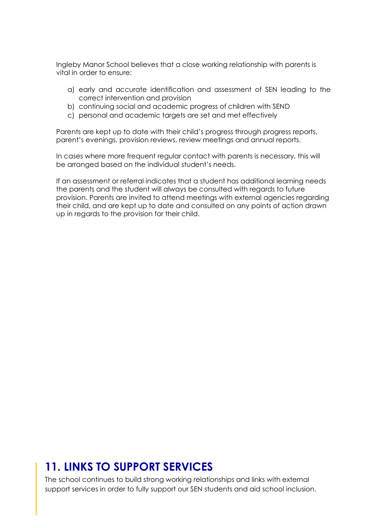Ingleby Manor School believes that a close working relationship with parents is vital in order to ensure:

- a) early and accurate identification and assessment of SEN leading to the correct intervention and provision
- b) continuing social and academic progress of children with SEND
- c) personal and academic targets are set and met effectively

Parents are kept up to date with their child's progress through progress reports, parent's evenings, provision reviews, review meetings and annual reports.

In cases where more frequent regular contact with parents is necessary, this will be arranged based on the individual student's needs.

If an assessment or referral indicates that a student has additional learning needs the parents and the student will always be consulted with regards to future provision. Parents are invited to attend meetings with external agencies regarding their child, and are kept up to date and consulted on any points of action drawn up in regards to the provision for their child.

## **11. LINKS TO SUPPORT SERVICES**

The school continues to build strong working relationships and links with external support services in order to fully support our SEN students and aid school inclusion.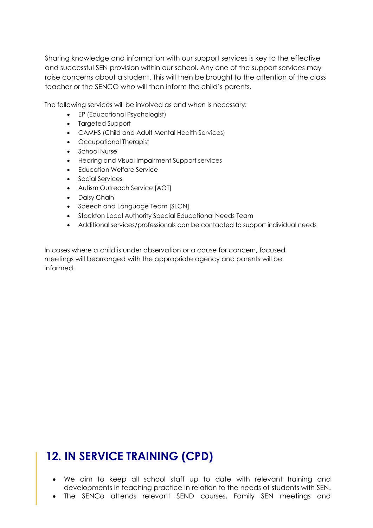Sharing knowledge and information with our support services is key to the effective and successful SEN provision within our school. Any one of the support services may raise concerns about a student. This will then be brought to the attention of the class teacher or the SENCO who will then inform the child's parents.

The following services will be involved as and when is necessary:

- EP (Educational Psychologist)
- Targeted Support
- CAMHS (Child and Adult Mental Health Services)
- Occupational Therapist
- School Nurse
- Hearing and Visual Impairment Support services
- Education Welfare Service
- Social Services
- Autism Outreach Service [AOT]
- Daisy Chain
- Speech and Language Team [SLCN]
- Stockton Local Authority Special Educational Needs Team
- Additional services/professionals can be contacted to support individual needs

In cases where a child is under observation or a cause for concern, focused meetings will bearranged with the appropriate agency and parents will be informed.

## **12. IN SERVICE TRAINING (CPD)**

- We aim to keep all school staff up to date with relevant training and developments in teaching practice in relation to the needs of students with SEN.
- The SENCo attends relevant SEND courses, Family SEN meetings and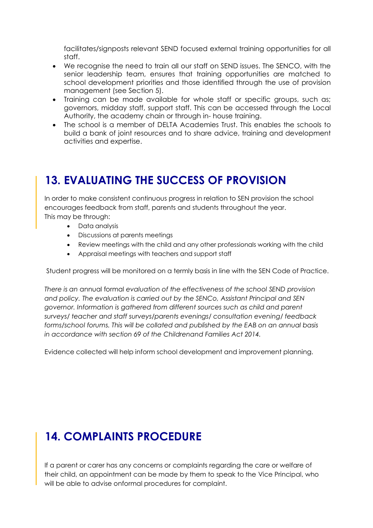facilitates/signposts relevant SEND focused external training opportunities for all staff.

- We recognise the need to train all our staff on SEND issues. The SENCO, with the senior leadership team, ensures that training opportunities are matched to school development priorities and those identified through the use of provision management (see Section 5).
- Training can be made available for whole staff or specific groups, such as; governors, midday staff, support staff. This can be accessed through the Local Authority, the academy chain or through in- house training.
- The school is a member of DELTA Academies Trust. This enables the schools to build a bank of joint resources and to share advice, training and development activities and expertise.

## **13. EVALUATING THE SUCCESS OF PROVISION**

In order to make consistent continuous progress in relation to SEN provision the school encourages feedback from staff, parents and students throughout the year. This may be through:

- Data analysis
- Discussions at parents meetings
- Review meetings with the child and any other professionals working with the child
- Appraisal meetings with teachers and support staff

Student progress will be monitored on a termly basis in line with the SEN Code of Practice.

*There is an* annual formal *evaluation of the effectiveness of the school SEND provision and policy. The evaluation is carried out by the SENCo, Assistant Principal and SEN governor. Information is gathered from different sources such as child and parent surveys/ teacher and staff surveys/parents evenings/ consultation evening/ feedback forms/school forums. This will be collated and published by the EAB on an annual basis in accordance with section 69 of the Childrenand Families Act 2014.*

Evidence collected will help inform school development and improvement planning.

## **14. COMPLAINTS PROCEDURE**

If a parent or carer has any concerns or complaints regarding the care or welfare of their child, an appointment can be made by them to speak to the Vice Principal, who will be able to advise onformal procedures for complaint.